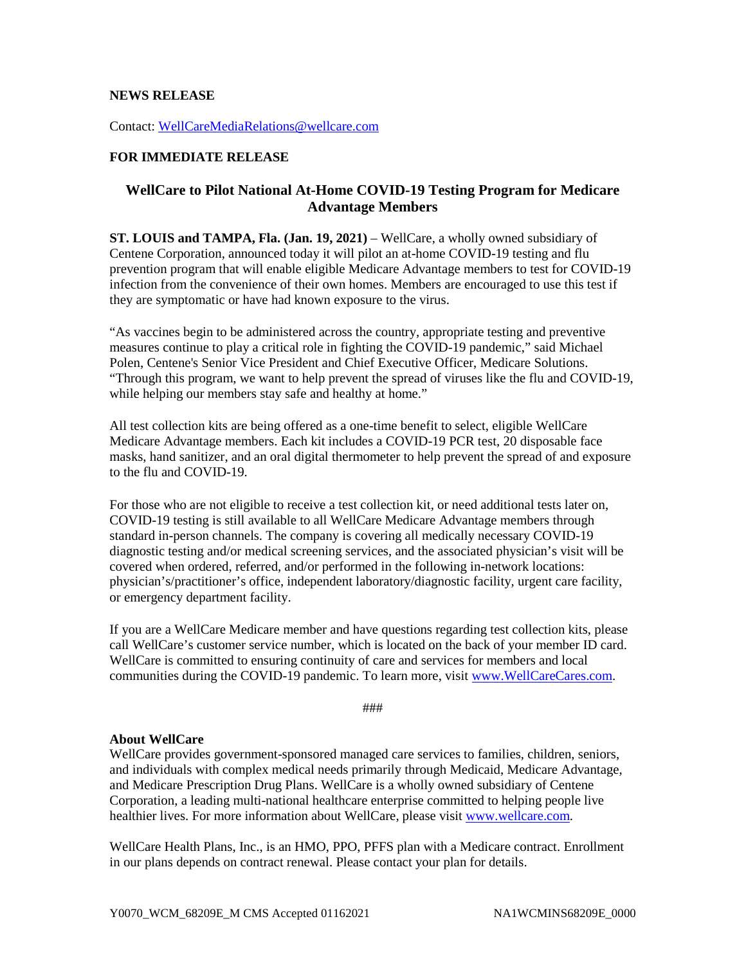## **NEWS RELEASE**

Contact: [WellCareMediaRelations@wellcare.com](mailto:WellCareMediaRelations@wellcare.com)

## **FOR IMMEDIATE RELEASE**

## **WellCare to Pilot National At-Home COVID-19 Testing Program for Medicare Advantage Members**

**ST. LOUIS and TAMPA, Fla. (Jan. 19, 2021)** – WellCare, a wholly owned subsidiary of Centene Corporation, announced today it will pilot an at-home COVID-19 testing and flu prevention program that will enable eligible Medicare Advantage members to test for COVID-19 infection from the convenience of their own homes. Members are encouraged to use this test if they are symptomatic or have had known exposure to the virus.

"As vaccines begin to be administered across the country, appropriate testing and preventive measures continue to play a critical role in fighting the COVID-19 pandemic," said Michael Polen, Centene's Senior Vice President and Chief Executive Officer, Medicare Solutions. "Through this program, we want to help prevent the spread of viruses like the flu and COVID-19, while helping our members stay safe and healthy at home."

All test collection kits are being offered as a one-time benefit to select, eligible WellCare Medicare Advantage members. Each kit includes a COVID-19 PCR test, 20 disposable face masks, hand sanitizer, and an oral digital thermometer to help prevent the spread of and exposure to the flu and COVID-19.

For those who are not eligible to receive a test collection kit, or need additional tests later on, COVID-19 testing is still available to all WellCare Medicare Advantage members through standard in-person channels. The company is covering all medically necessary COVID-19 diagnostic testing and/or medical screening services, and the associated physician's visit will be covered when ordered, referred, and/or performed in the following in-network locations: physician's/practitioner's office, independent laboratory/diagnostic facility, urgent care facility, or emergency department facility.

If you are a WellCare Medicare member and have questions regarding test collection kits, please call WellCare's customer service number, which is located on the back of your member ID card. WellCare is committed to ensuring continuity of care and services for members and local communities during the COVID-19 pandemic. To learn more, visit [www.WellCareCares.com.](http://www.wellcarecares.com/)

###

## **About WellCare**

WellCare provides government-sponsored managed care services to families, children, seniors, and individuals with complex medical needs primarily through Medicaid, Medicare Advantage, and Medicare Prescription Drug Plans. WellCare is a wholly owned subsidiary of Centene Corporation, a leading multi-national healthcare enterprise committed to helping people live healthier lives. For more information about WellCare, please visit [www.wellcare.com.](http://www.wellcare.com/)

WellCare Health Plans, Inc., is an HMO, PPO, PFFS plan with a Medicare contract. Enrollment in our plans depends on contract renewal. Please contact your plan for details.